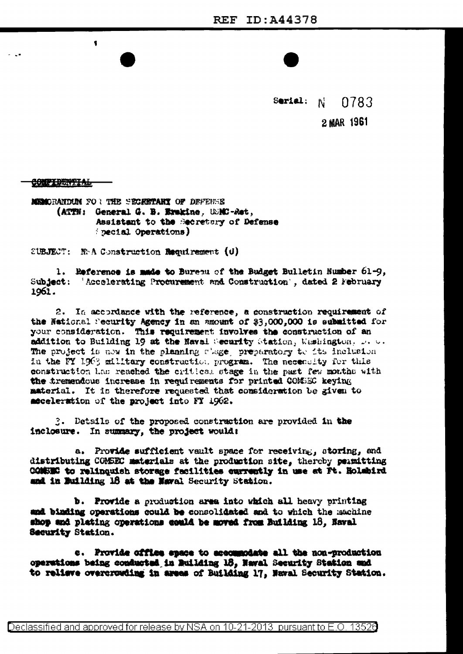Serial:  $N$ 0783 2 MAR 1961

# **CONFIDENTIAL**

\$

MEMORANDUM FOR THE SECRETARY OF DEFENSE (ATTN: General G. B. Erakine, USMC-Ret, Assistant to the Secretary of Defense pecial Operations)

SUBJECT: N.A Construction Requirement  $(d)$ 

1. Reference is made to Burenu of the Budget Bulletin Number 61-9, Subject: 'Accelerating Procurement and Construction', dated 2 February 1961.

2. In accordance with the reference, a construction requirement of the National Security Agency in an amount of \$3,000,000 is submitted for your consideration. This requirement involves the construction of an addition to Building 19 at the Naval Security Station, Weshington, Development The project is now in the planning close, preparatory to its inclusion in the FY 1963 military construction program. The necessity for this construction has reached the critical stage in the past few months with the tremendous increase in requirements for printed COMSEC keying material. It is therefore requested that consideration be given to acceleration of the project into FT 1962.

3. Details of the proposed construction are provided in the inclosure. In summary, the project would:

a. Provide sufficient vault space for receiving, storing, and distributing COMSEC materials at the production site, thereby permitting CONSEC to relinquish storage facilities currently in use at Pt. Holehird and in Building 18 at the Naval Security Station.

**b.** Provide a production area into which all heavy printing and binding operations could be consolidated and to which the machine shop and plating operations could be moved from Building 18, Naval Security Station.

e. Provide office space to accommodate all the non-production operations being conducted in Building 18, Naval Security Station and to relieve overcrowding in areas of Building 17, Naval Security Station.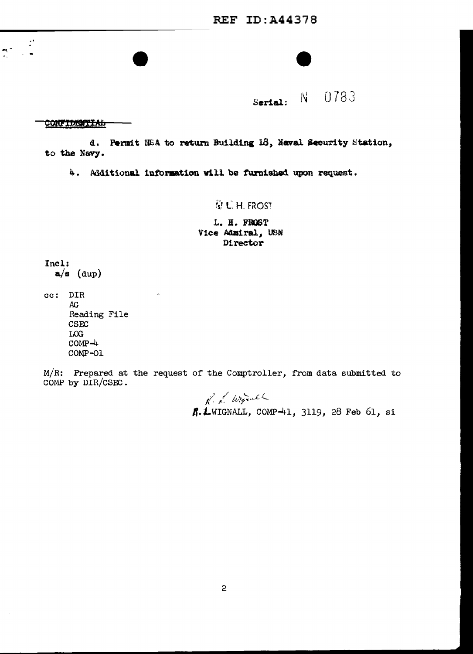REF ID:A44378



Serial: N 0783

# **CONFIDENTIAL**

..

d. Permit NSA to return Building 18, Naval Security Station, to the NaVJ.

4. Additional information will be furnished upon request.

# $G$  C.H. FROST

*L.* H. FIOST Vice Admiral, USN Director

Incl;  $a/s$  (dup)

cc: DIR AG Reading File CSEC LOG  $COMP - 4$ COMP-01

M/R: Prepared at the request of the Comptroller, from data submitted to COMP by DIR/CSEC.

> $n^2$  & Wignall **A. L**WIGNALL, COMP-41, 3119, 28 Feb 61, si